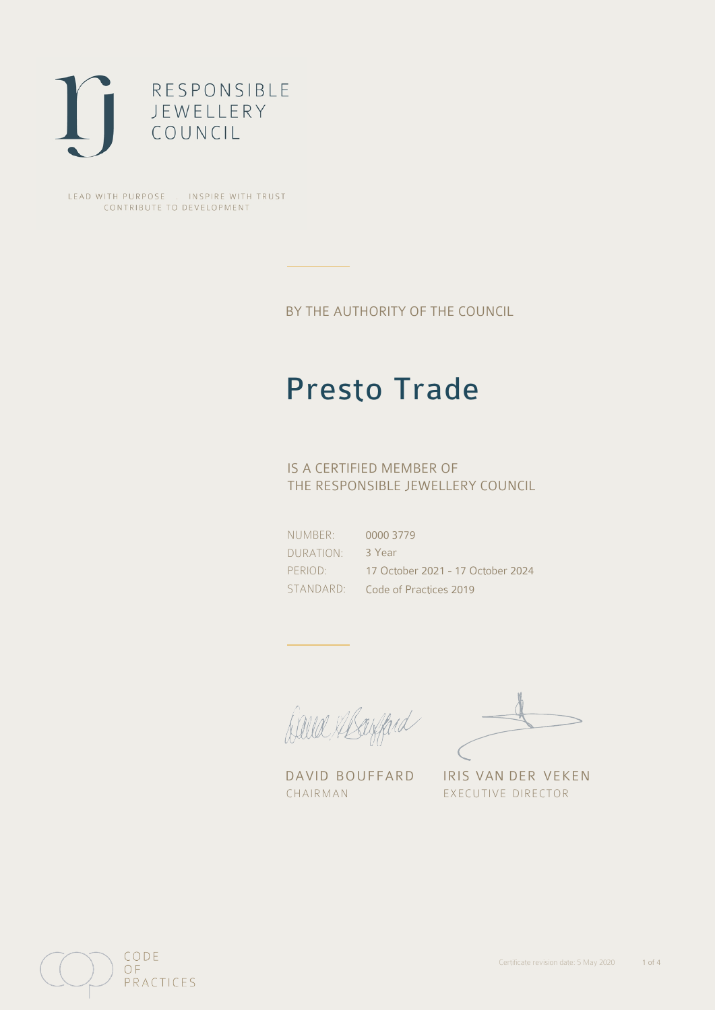

LEAD WITH PURPOSE . INSPIRE WITH TRUST CONTRIBUTE TO DEVELOPMENT

BY THE AUTHORITY OF THE COUNCIL

## Presto Trade

### IS A CERTIFIED MEMBER OF THE RESPONSIBLE JEWELLERY COUNCIL

NUMBER: DURATION: PERIOD: STANDARD: 0000 3779 3 Year 17 October 2021 - 17 October 2024 Code of Practices 2019

Caux Margaret

DAVID BOUFFARD IRIS VAN DER VEKEN CHAIRMAN EXECUTIVE DIRECTOR

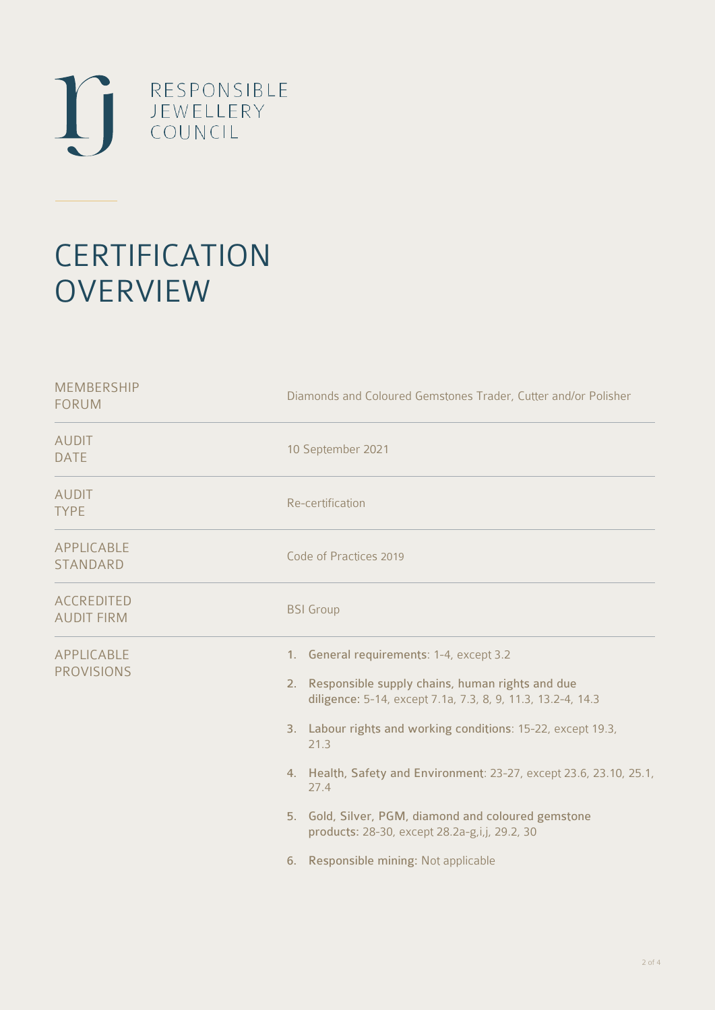

# **CERTIFICATION OVERVIEW**

| <b>MEMBERSHIP</b><br><b>FORUM</b>      | Diamonds and Coloured Gemstones Trader, Cutter and/or Polisher                                                                                                                                                                                                                                                                                                                                                                                                              |
|----------------------------------------|-----------------------------------------------------------------------------------------------------------------------------------------------------------------------------------------------------------------------------------------------------------------------------------------------------------------------------------------------------------------------------------------------------------------------------------------------------------------------------|
| <b>AUDIT</b><br><b>DATE</b>            | 10 September 2021                                                                                                                                                                                                                                                                                                                                                                                                                                                           |
| <b>AUDIT</b><br><b>TYPE</b>            | Re-certification                                                                                                                                                                                                                                                                                                                                                                                                                                                            |
| APPLICABLE<br>STANDARD                 | Code of Practices 2019                                                                                                                                                                                                                                                                                                                                                                                                                                                      |
| <b>ACCREDITED</b><br><b>AUDIT FIRM</b> | <b>BSI</b> Group                                                                                                                                                                                                                                                                                                                                                                                                                                                            |
| APPLICABLE<br><b>PROVISIONS</b>        | 1. General requirements: 1-4, except 3.2<br>Responsible supply chains, human rights and due<br>2.<br>diligence: 5-14, except 7.1a, 7.3, 8, 9, 11.3, 13.2-4, 14.3<br>3. Labour rights and working conditions: 15-22, except 19.3,<br>21.3<br>4. Health, Safety and Environment: 23-27, except 23.6, 23.10, 25.1,<br>27.4<br>5. Gold, Silver, PGM, diamond and coloured gemstone<br>products: 28-30, except 28.2a-g,i,j, 29.2, 30<br>Responsible mining: Not applicable<br>6. |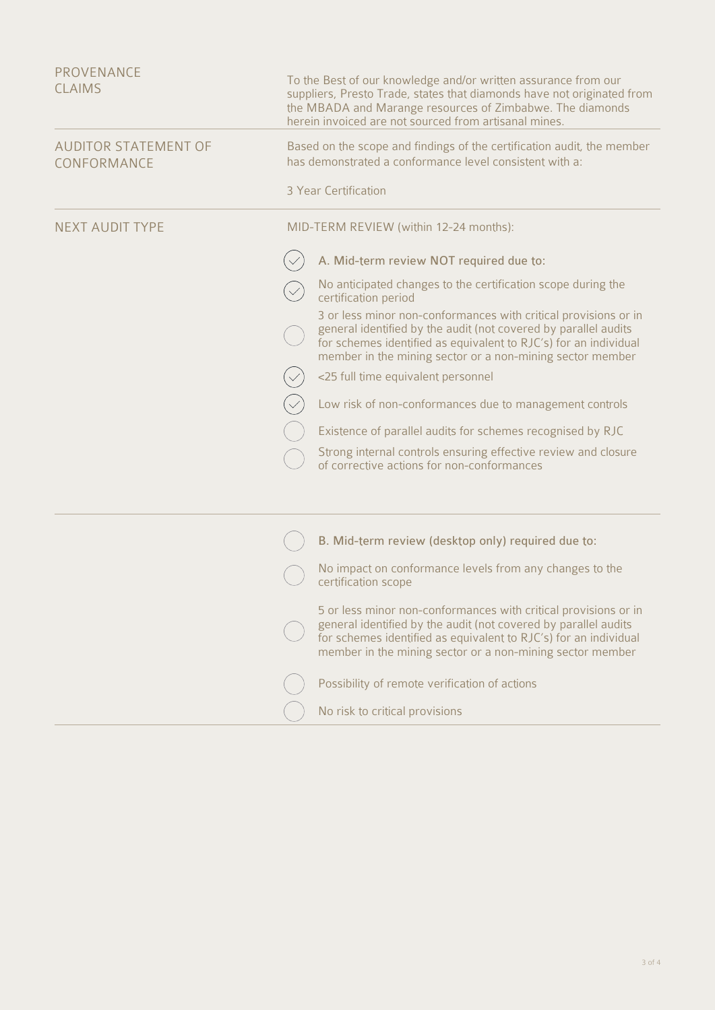| PROVENANCE                                 |                                                                                                                                                                                                                                                                     |
|--------------------------------------------|---------------------------------------------------------------------------------------------------------------------------------------------------------------------------------------------------------------------------------------------------------------------|
| <b>CLAIMS</b>                              | To the Best of our knowledge and/or written assurance from our<br>suppliers, Presto Trade, states that diamonds have not originated from<br>the MBADA and Marange resources of Zimbabwe. The diamonds<br>herein invoiced are not sourced from artisanal mines.      |
| <b>AUDITOR STATEMENT OF</b><br>CONFORMANCE | Based on the scope and findings of the certification audit, the member<br>has demonstrated a conformance level consistent with a:                                                                                                                                   |
|                                            | 3 Year Certification                                                                                                                                                                                                                                                |
| <b>NEXT AUDIT TYPE</b>                     | MID-TERM REVIEW (within 12-24 months):                                                                                                                                                                                                                              |
|                                            | A. Mid-term review NOT required due to:                                                                                                                                                                                                                             |
|                                            | No anticipated changes to the certification scope during the<br>certification period                                                                                                                                                                                |
|                                            | 3 or less minor non-conformances with critical provisions or in<br>general identified by the audit (not covered by parallel audits<br>for schemes identified as equivalent to RJC's) for an individual<br>member in the mining sector or a non-mining sector member |
|                                            | <25 full time equivalent personnel                                                                                                                                                                                                                                  |
|                                            | Low risk of non-conformances due to management controls                                                                                                                                                                                                             |
|                                            | Existence of parallel audits for schemes recognised by RJC                                                                                                                                                                                                          |
|                                            | Strong internal controls ensuring effective review and closure<br>of corrective actions for non-conformances                                                                                                                                                        |
|                                            |                                                                                                                                                                                                                                                                     |
|                                            | B. Mid-term review (desktop only) required due to:                                                                                                                                                                                                                  |
|                                            | No impact on conformance levels from any changes to the<br>certification scope                                                                                                                                                                                      |
|                                            | 5 or less minor non-conformances with critical provisions or in<br>general identified by the audit (not covered by parallel audits<br>for schemes identified as equivalent to RJC's) for an individual<br>member in the mining sector or a non-mining sector member |
|                                            | Possibility of remote verification of actions                                                                                                                                                                                                                       |
|                                            | No risk to critical provisions                                                                                                                                                                                                                                      |